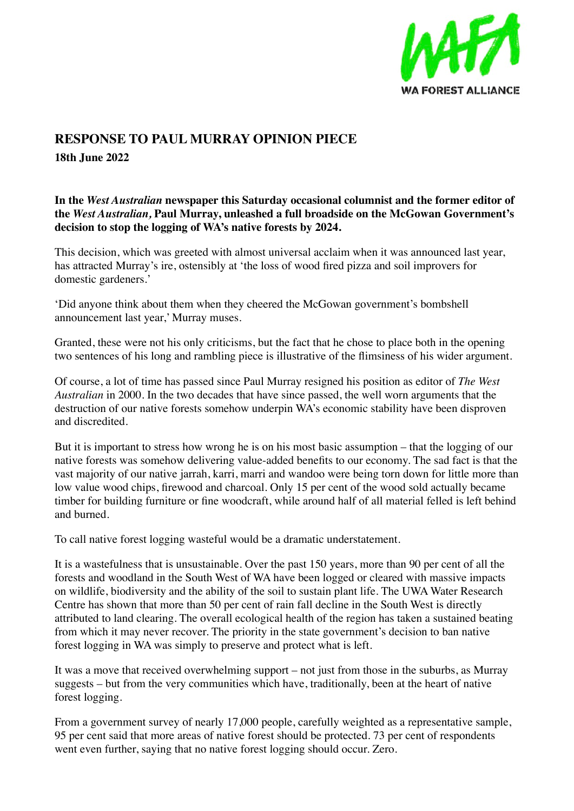

## **RESPONSE TO PAUL MURRAY OPINION PIECE**

**18th June 2022** 

**In the** *West Australian* **newspaper this Saturday occasional columnist and the former editor of the** *West Australian,* **Paul Murray, unleashed a full broadside on the McGowan Government's decision to stop the logging of WA's native forests by 2024.**

This decision, which was greeted with almost universal acclaim when it was announced last year, has attracted Murray's ire, ostensibly at 'the loss of wood fired pizza and soil improvers for domestic gardeners.'

'Did anyone think about them when they cheered the McGowan government's bombshell announcement last year,' Murray muses.

Granted, these were not his only criticisms, but the fact that he chose to place both in the opening two sentences of his long and rambling piece is illustrative of the flimsiness of his wider argument.

Of course, a lot of time has passed since Paul Murray resigned his position as editor of *The West Australian* in 2000. In the two decades that have since passed, the well worn arguments that the destruction of our native forests somehow underpin WA's economic stability have been disproven and discredited.

But it is important to stress how wrong he is on his most basic assumption – that the logging of our native forests was somehow delivering value-added benefits to our economy. The sad fact is that the vast majority of our native jarrah, karri, marri and wandoo were being torn down for little more than low value wood chips, firewood and charcoal. Only 15 per cent of the wood sold actually became timber for building furniture or fine woodcraft, while around half of all material felled is left behind and burned.

To call native forest logging wasteful would be a dramatic understatement.

It is a wastefulness that is unsustainable. Over the past 150 years, more than 90 per cent of all the forests and woodland in the South West of WA have been logged or cleared with massive impacts on wildlife, biodiversity and the ability of the soil to sustain plant life. The UWA Water Research Centre has shown that more than 50 per cent of rain fall decline in the South West is directly attributed to land clearing. The overall ecological health of the region has taken a sustained beating from which it may never recover. The priority in the state government's decision to ban native forest logging in WA was simply to preserve and protect what is left.

It was a move that received overwhelming support – not just from those in the suburbs, as Murray suggests – but from the very communities which have, traditionally, been at the heart of native forest logging.

From a government survey of nearly 17,000 people, carefully weighted as a representative sample, 95 per cent said that more areas of native forest should be protected. 73 per cent of respondents went even further, saying that no native forest logging should occur. Zero.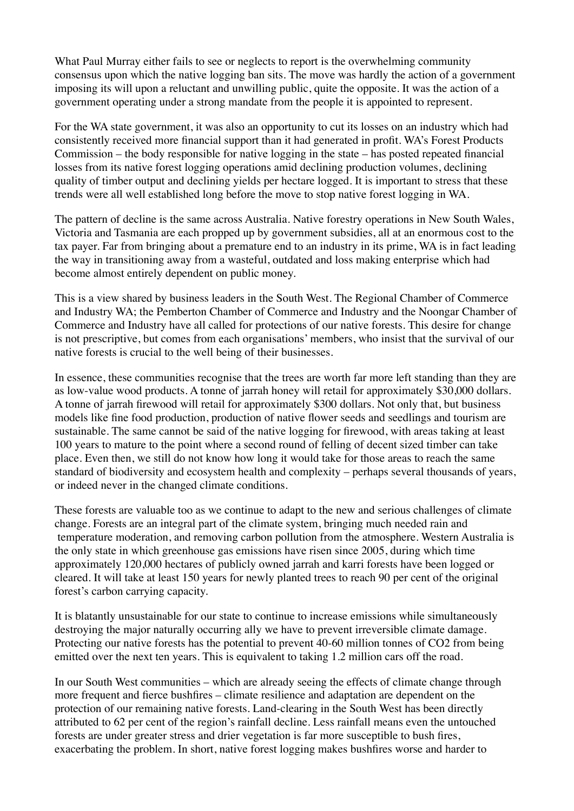What Paul Murray either fails to see or neglects to report is the overwhelming community consensus upon which the native logging ban sits. The move was hardly the action of a government imposing its will upon a reluctant and unwilling public, quite the opposite. It was the action of a government operating under a strong mandate from the people it is appointed to represent.

For the WA state government, it was also an opportunity to cut its losses on an industry which had consistently received more financial support than it had generated in profit. WA's Forest Products Commission – the body responsible for native logging in the state – has posted repeated financial losses from its native forest logging operations amid declining production volumes, declining quality of timber output and declining yields per hectare logged. It is important to stress that these trends were all well established long before the move to stop native forest logging in WA.

The pattern of decline is the same across Australia. Native forestry operations in New South Wales, Victoria and Tasmania are each propped up by government subsidies, all at an enormous cost to the tax payer. Far from bringing about a premature end to an industry in its prime, WA is in fact leading the way in transitioning away from a wasteful, outdated and loss making enterprise which had become almost entirely dependent on public money.

This is a view shared by business leaders in the South West. The Regional Chamber of Commerce and Industry WA; the Pemberton Chamber of Commerce and Industry and the Noongar Chamber of Commerce and Industry have all called for protections of our native forests. This desire for change is not prescriptive, but comes from each organisations' members, who insist that the survival of our native forests is crucial to the well being of their businesses.

In essence, these communities recognise that the trees are worth far more left standing than they are as low-value wood products. A tonne of jarrah honey will retail for approximately \$30,000 dollars. A tonne of jarrah firewood will retail for approximately \$300 dollars. Not only that, but business models like fine food production, production of native flower seeds and seedlings and tourism are sustainable. The same cannot be said of the native logging for firewood, with areas taking at least 100 years to mature to the point where a second round of felling of decent sized timber can take place. Even then, we still do not know how long it would take for those areas to reach the same standard of biodiversity and ecosystem health and complexity – perhaps several thousands of years, or indeed never in the changed climate conditions.

These forests are valuable too as we continue to adapt to the new and serious challenges of climate change. Forests are an integral part of the climate system, bringing much needed rain and temperature moderation, and removing carbon pollution from the atmosphere. Western Australia is the only state in which greenhouse gas emissions have risen since 2005, during which time approximately 120,000 hectares of publicly owned jarrah and karri forests have been logged or cleared. It will take at least 150 years for newly planted trees to reach 90 per cent of the original forest's carbon carrying capacity.

It is blatantly unsustainable for our state to continue to increase emissions while simultaneously destroying the major naturally occurring ally we have to prevent irreversible climate damage. Protecting our native forests has the potential to prevent 40-60 million tonnes of CO2 from being emitted over the next ten years. This is equivalent to taking 1.2 million cars off the road.

In our South West communities – which are already seeing the effects of climate change through more frequent and fierce bushfires – climate resilience and adaptation are dependent on the protection of our remaining native forests. Land-clearing in the South West has been directly attributed to 62 per cent of the region's rainfall decline. Less rainfall means even the untouched forests are under greater stress and drier vegetation is far more susceptible to bush fires, exacerbating the problem. In short, native forest logging makes bushfires worse and harder to